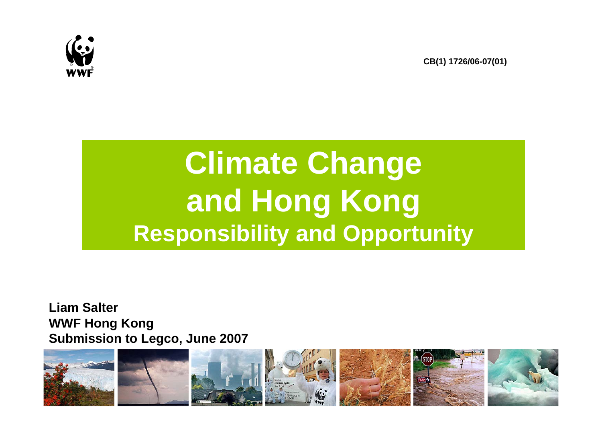

**CB(1) 1726/06-07(01)**

## **Climate Change and Hong Kong Responsibility and Opportunity**

**Liam SalterWWF Hong Kong Submission to Legco, June 2007**

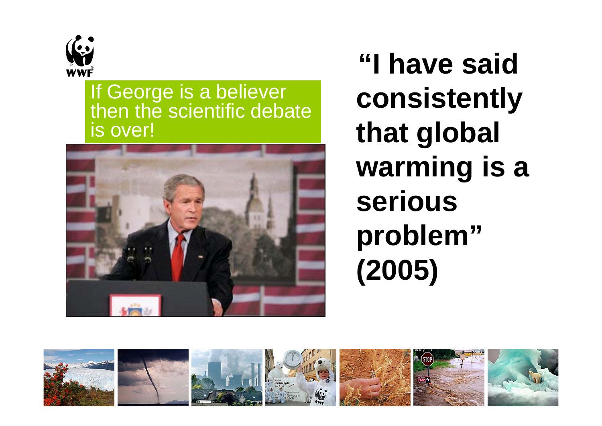

If George is a believer then the scientific debate is over!



**"I have said consistently that global warming is a serious problem" (2005)**

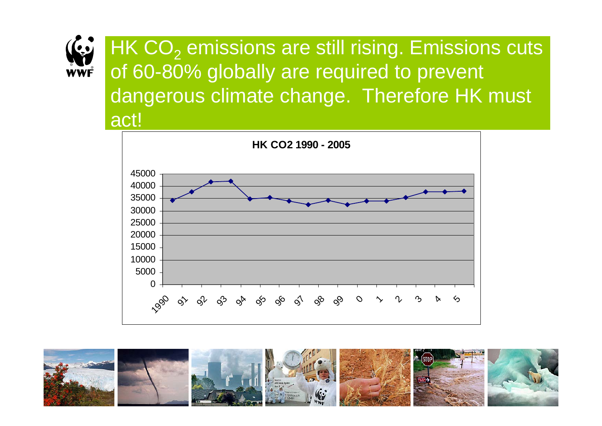

HK CO $_2$  emissions are still rising. Emissions cuts  $\,$ of 60-80% globally are required to prevent dangerous climate change. Therefore HK must act!



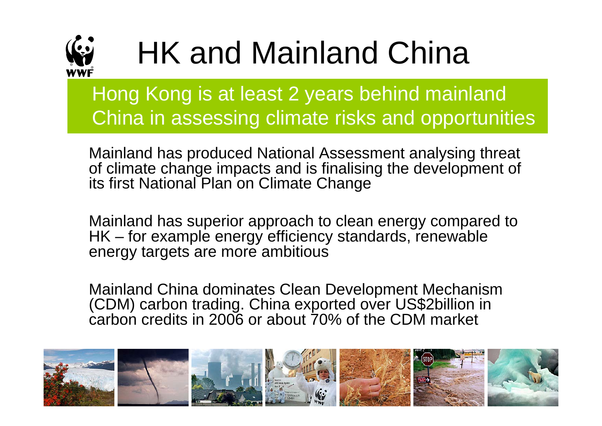

## HK and Mainland China

Hong Kong is at least 2 years behind mainland China in assessing climate risks and opportunities

Mainland has produced National Assessment analysing threat of climate change impacts and is finalising the development of its first National Plan on Climate Change

Mainland has superior approach to clean energy compared to HK – for example energy efficiency standards, renewable energy targets are more ambitious

Mainland China dominates Clean Development Mechanism (CDM) carbon trading. China exported over US\$2billion in carbon credits in 2006 or about 70% of the CDM market

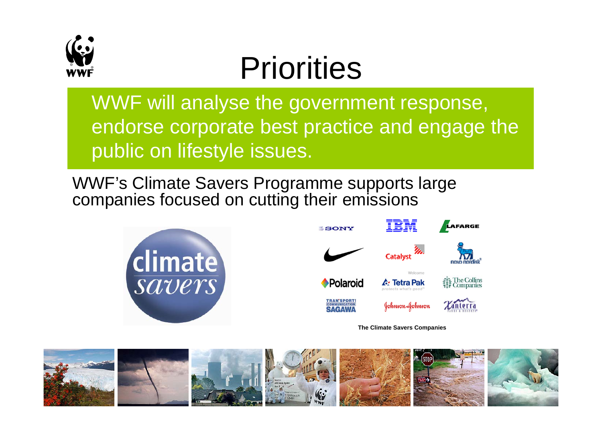

## **Priorities**

WWF will analyse the government response, endorse corporate best practice and engage the public on lifestyle issues.

WWF's Climate Savers Programme supports large companies focused on cutting their emissions





**The Climate Savers Companies**